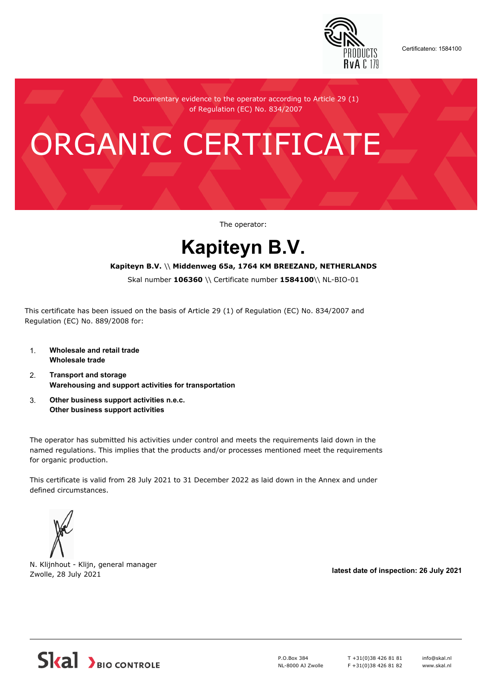

Certificateno: 1584100

Documentary evidence to the operator according to Article 29 (1) of Regulation (EC) No. 834/2007

# ORGANIC CERTIFICATE

The operator:

## **Kapiteyn B.V.**

#### **Kapiteyn B.V.** \\ **Middenweg 65a, 1764 KM BREEZAND, NETHERLANDS**

Skal number **106360** \\ Certificate number **1584100**\\ NL-BIO-01

This certificate has been issued on the basis of Article 29 (1) of Regulation (EC) No. 834/2007 and Regulation (EC) No. 889/2008 for:

- 1. **Wholesale and retail trade Wholesale trade**
- 2. **Transport and storage Warehousing and support activities for transportation**
- 3. **Other business support activities n.e.c. Other business support activities**

The operator has submitted his activities under control and meets the requirements laid down in the named regulations. This implies that the products and/or processes mentioned meet the requirements for organic production.

This certificate is valid from 28 July 2021 to 31 December 2022 as laid down in the Annex and under defined circumstances.



N. Klijnhout - Klijn, general manager Zwolle, 28 July 2021 **latest date of inspection: 26 July 2021**



P.O.Box 384 NL-8000 AJ Zwolle T +31(0)38 426 81 81 F +31(0)38 426 81 82 info@skal.nl www.skal.nl